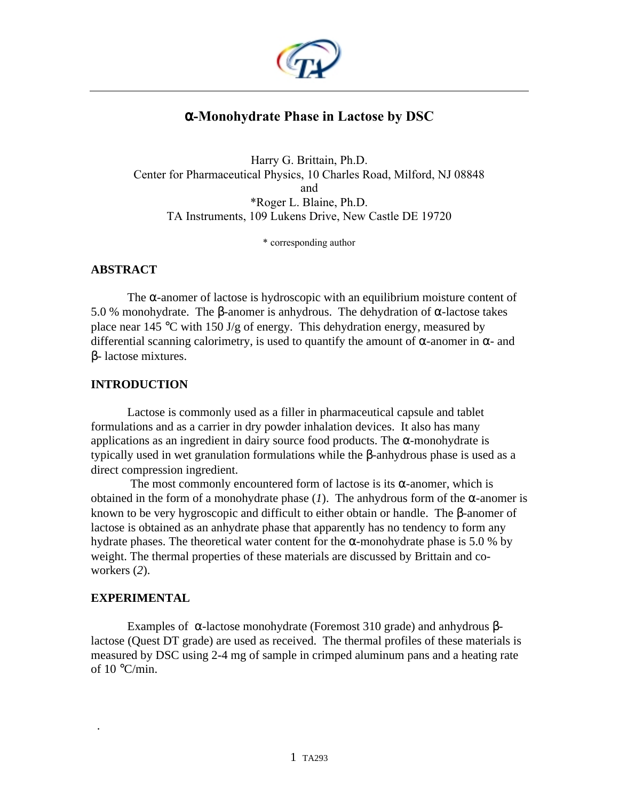

# α**-Monohydrate Phase in Lactose by DSC**

Harry G. Brittain, Ph.D. Center for Pharmaceutical Physics, 10 Charles Road, Milford, NJ 08848 and \*Roger L. Blaine, Ph.D. TA Instruments, 109 Lukens Drive, New Castle DE 19720

\* corresponding author

## **ABSTRACT**

The  $\alpha$ -anomer of lactose is hydroscopic with an equilibrium moisture content of 5.0 % monohydrate. The β-anomer is anhydrous. The dehydration of α-lactose takes place near 145 °C with 150 J/g of energy. This dehydration energy, measured by differential scanning calorimetry, is used to quantify the amount of  $\alpha$ -anomer in  $\alpha$ - and β- lactose mixtures.

## **INTRODUCTION**

Lactose is commonly used as a filler in pharmaceutical capsule and tablet formulations and as a carrier in dry powder inhalation devices. It also has many applications as an ingredient in dairy source food products. The  $\alpha$ -monohydrate is typically used in wet granulation formulations while the β-anhydrous phase is used as a direct compression ingredient.

The most commonly encountered form of lactose is its  $\alpha$ -anomer, which is obtained in the form of a monohydrate phase  $(1)$ . The anhydrous form of the  $\alpha$ -anomer is known to be very hygroscopic and difficult to either obtain or handle. The β-anomer of lactose is obtained as an anhydrate phase that apparently has no tendency to form any hydrate phases. The theoretical water content for the  $\alpha$ -monohydrate phase is 5.0 % by weight. The thermal properties of these materials are discussed by Brittain and coworkers (*2*).

## **EXPERIMENTAL**

.

Examples of  $\alpha$ -lactose monohydrate (Foremost 310 grade) and anhydrous βlactose (Quest DT grade) are used as received. The thermal profiles of these materials is measured by DSC using 2-4 mg of sample in crimped aluminum pans and a heating rate of  $10^{\circ}$ C/min.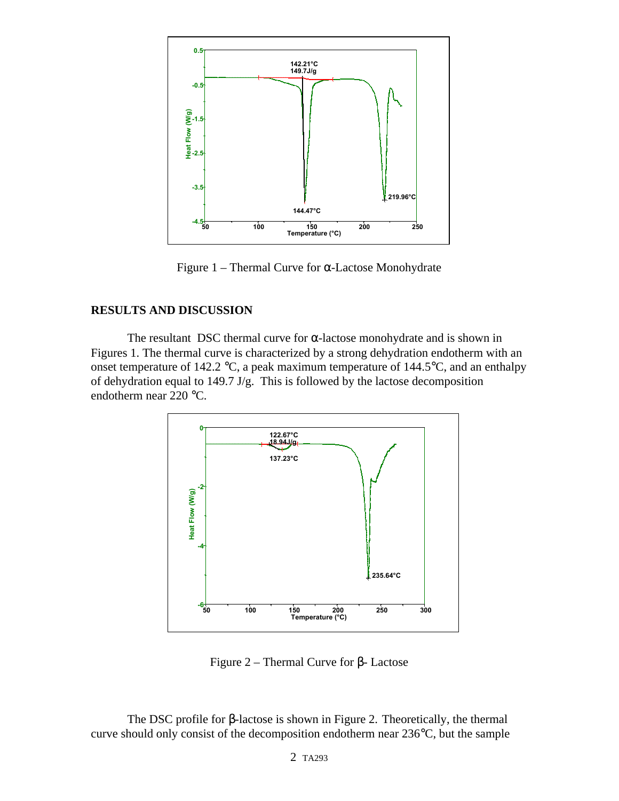

Figure 1 – Thermal Curve for α-Lactose Monohydrate

### **RESULTS AND DISCUSSION**

The resultant DSC thermal curve for  $\alpha$ -lactose monohydrate and is shown in Figures 1. The thermal curve is characterized by a strong dehydration endotherm with an onset temperature of 142.2 °C, a peak maximum temperature of 144.5°C, and an enthalpy of dehydration equal to 149.7 J/g. This is followed by the lactose decomposition endotherm near 220 °C.



Figure 2 – Thermal Curve for β- Lactose

The DSC profile for β-lactose is shown in Figure 2. Theoretically, the thermal curve should only consist of the decomposition endotherm near 236°C, but the sample